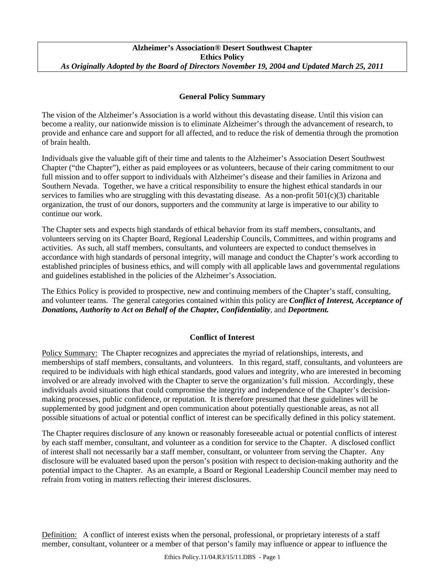# **General Policy Summary**

The vision of the Alzheimer's Association is a world without this devastating disease. Until this vision can become a reality, our nationwide mission is to eliminate Alzheimer's through the advancement of research, to provide and enhance care and support for all affected, and to reduce the risk of dementia through the promotion of brain health.

Individuals give the valuable gift of their time and talents to the Alzheimer's Association Desert Southwest Chapter ("the Chapter"), either as paid employees or as volunteers, because of their caring commitment to our full mission and to offer support to individuals with Alzheimer's disease and their families in Arizona and Southern Nevada. Together, we have a critical responsibility to ensure the highest ethical standards in our services to families who are struggling with this devastating disease. As a non-profit  $501(c)(3)$  charitable organization, the trust of our donors, supporters and the community at large is imperative to our ability to continue our work.

The Chapter sets and expects high standards of ethical behavior from its staff members, consultants, and volunteers serving on its Chapter Board, Regional Leadership Councils, Committees, and within programs and activities. As such, all staff members, consultants, and volunteers are expected to conduct themselves in accordance with high standards of personal integrity, will manage and conduct the Chapter's work according to established principles of business ethics, and will comply with all applicable laws and governmental regulations and guidelines established in the policies of the Alzheimer's Association.

The Ethics Policy is provided to prospective, new and continuing members of the Chapter's staff, consulting, and volunteer teams. The general categories contained within this policy are *Conflict of Interest, Acceptance of Donations, Authority to Act on Behalf of the Chapter, Confidentiality*, and *Deportment.* 

## **Conflict of Interest**

Policy Summary: The Chapter recognizes and appreciates the myriad of relationships, interests, and memberships of staff members, consultants, and volunteers. In this regard, staff, consultants, and volunteers are required to be individuals with high ethical standards, good values and integrity, who are interested in becoming involved or are already involved with the Chapter to serve the organization's full mission. Accordingly, these individuals avoid situations that could compromise the integrity and independence of the Chapter's decisionmaking processes, public confidence, or reputation. It is therefore presumed that these guidelines will be supplemented by good judgment and open communication about potentially questionable areas, as not all possible situations of actual or potential conflict of interest can be specifically defined in this policy statement.

The Chapter requires disclosure of any known or reasonably foreseeable actual or potential conflicts of interest by each staff member, consultant, and volunteer as a condition for service to the Chapter. A disclosed conflict of interest shall not necessarily bar a staff member, consultant, or volunteer from serving the Chapter. Any disclosure will be evaluated based upon the person's position with respect to decision-making authority and the potential impact to the Chapter. As an example, a Board or Regional Leadership Council member may need to refrain from voting in matters reflecting their interest disclosures.

Definition: A conflict of interest exists when the personal, professional, or proprietary interests of a staff member, consultant, volunteer or a member of that person's family may influence or appear to influence the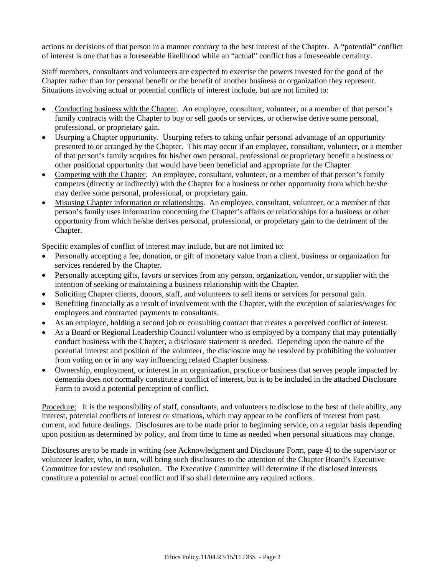actions or decisions of that person in a manner contrary to the best interest of the Chapter. A "potential" conflict of interest is one that has a foreseeable likelihood while an "actual" conflict has a foreseeable certainty.

Staff members, consultants and volunteers are expected to exercise the powers invested for the good of the Chapter rather than for personal benefit or the benefit of another business or organization they represent. Situations involving actual or potential conflicts of interest include, but are not limited to:

- Conducting business with the Chapter. An employee, consultant, volunteer, or a member of that person's family contracts with the Chapter to buy or sell goods or services, or otherwise derive some personal, professional, or proprietary gain.
- Usurping a Chapter opportunity. Usurping refers to taking unfair personal advantage of an opportunity presented to or arranged by the Chapter. This may occur if an employee, consultant, volunteer, or a member of that person's family acquires for his/her own personal, professional or proprietary benefit a business or other positional opportunity that would have been beneficial and appropriate for the Chapter.
- Competing with the Chapter. An employee, consultant, volunteer, or a member of that person's family competes (directly or indirectly) with the Chapter for a business or other opportunity from which he/she may derive some personal, professional, or proprietary gain.
- Misusing Chapter information or relationships. An employee, consultant, volunteer, or a member of that person's family uses information concerning the Chapter's affairs or relationships for a business or other opportunity from which he/she derives personal, professional, or proprietary gain to the detriment of the Chapter.

Specific examples of conflict of interest may include, but are not limited to:

- Personally accepting a fee, donation, or gift of monetary value from a client, business or organization for services rendered by the Chapter.
- Personally accepting gifts, favors or services from any person, organization, vendor, or supplier with the intention of seeking or maintaining a business relationship with the Chapter.
- Soliciting Chapter clients, donors, staff, and volunteers to sell items or services for personal gain.
- Benefiting financially as a result of involvement with the Chapter, with the exception of salaries/wages for employees and contracted payments to consultants.
- As an employee, holding a second job or consulting contract that creates a perceived conflict of interest.
- As a Board or Regional Leadership Council volunteer who is employed by a company that may potentially conduct business with the Chapter, a disclosure statement is needed. Depending upon the nature of the potential interest and position of the volunteer, the disclosure may be resolved by prohibiting the volunteer from voting on or in any way influencing related Chapter business.
- Ownership, employment, or interest in an organization, practice or business that serves people impacted by dementia does not normally constitute a conflict of interest, but is to be included in the attached Disclosure Form to avoid a potential perception of conflict.

Procedure: It is the responsibility of staff, consultants, and volunteers to disclose to the best of their ability, any interest, potential conflicts of interest or situations, which may appear to be conflicts of interest from past, current, and future dealings. Disclosures are to be made prior to beginning service, on a regular basis depending upon position as determined by policy, and from time to time as needed when personal situations may change.

Disclosures are to be made in writing (see Acknowledgment and Disclosure Form, page 4) to the supervisor or volunteer leader, who, in turn, will bring such disclosures to the attention of the Chapter Board's Executive Committee for review and resolution. The Executive Committee will determine if the disclosed interests constitute a potential or actual conflict and if so shall determine any required actions.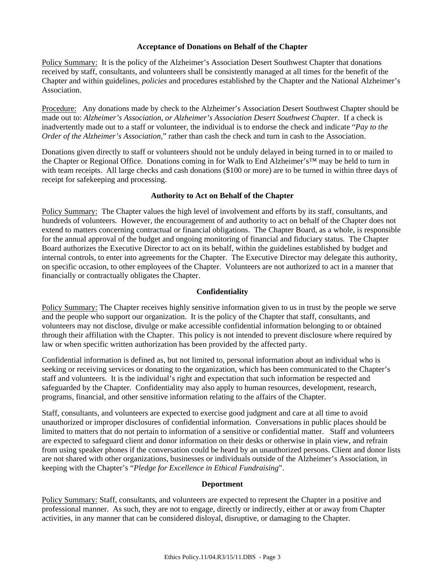### **Acceptance of Donations on Behalf of the Chapter**

Policy Summary: It is the policy of the Alzheimer's Association Desert Southwest Chapter that donations received by staff, consultants, and volunteers shall be consistently managed at all times for the benefit of the Chapter and within guidelines*, policies* and procedures established by the Chapter and the National Alzheimer's Association.

Procedure: Any donations made by check to the Alzheimer's Association Desert Southwest Chapter should be made out to: *Alzheimer's Association, or Alzheimer's Association Desert Southwest Chapter.* If a check is inadvertently made out to a staff or volunteer, the individual is to endorse the check and indicate "*Pay to the Order of the Alzheimer's Association*," rather than cash the check and turn in cash to the Association.

Donations given directly to staff or volunteers should not be unduly delayed in being turned in to or mailed to the Chapter or Regional Office. Donations coming in for Walk to End Alzheimer's™ may be held to turn in with team receipts. All large checks and cash donations (\$100 or more) are to be turned in within three days of receipt for safekeeping and processing.

#### **Authority to Act on Behalf of the Chapter**

Policy Summary: The Chapter values the high level of involvement and efforts by its staff, consultants, and hundreds of volunteers. However, the encouragement of and authority to act on behalf of the Chapter does not extend to matters concerning contractual or financial obligations. The Chapter Board, as a whole, is responsible for the annual approval of the budget and ongoing monitoring of financial and fiduciary status. The Chapter Board authorizes the Executive Director to act on its behalf, within the guidelines established by budget and internal controls, to enter into agreements for the Chapter. The Executive Director may delegate this authority, on specific occasion, to other employees of the Chapter. Volunteers are not authorized to act in a manner that financially or contractually obligates the Chapter.

## **Confidentiality**

Policy Summary: The Chapter receives highly sensitive information given to us in trust by the people we serve and the people who support our organization. It is the policy of the Chapter that staff, consultants, and volunteers may not disclose, divulge or make accessible confidential information belonging to or obtained through their affiliation with the Chapter. This policy is not intended to prevent disclosure where required by law or when specific written authorization has been provided by the affected party.

Confidential information is defined as, but not limited to, personal information about an individual who is seeking or receiving services or donating to the organization, which has been communicated to the Chapter's staff and volunteers. It is the individual's right and expectation that such information be respected and safeguarded by the Chapter. Confidentiality may also apply to human resources, development, research, programs, financial, and other sensitive information relating to the affairs of the Chapter.

Staff, consultants, and volunteers are expected to exercise good judgment and care at all time to avoid unauthorized or improper disclosures of confidential information. Conversations in public places should be limited to matters that do not pertain to information of a sensitive or confidential matter. Staff and volunteers are expected to safeguard client and donor information on their desks or otherwise in plain view, and refrain from using speaker phones if the conversation could be heard by an unauthorized persons. Client and donor lists are not shared with other organizations, businesses or individuals outside of the Alzheimer's Association, in keeping with the Chapter's "*Pledge for Excellence in Ethical Fundraising*".

#### **Deportment**

Policy Summary: Staff, consultants, and volunteers are expected to represent the Chapter in a positive and professional manner. As such, they are not to engage, directly or indirectly, either at or away from Chapter activities, in any manner that can be considered disloyal, disruptive, or damaging to the Chapter.